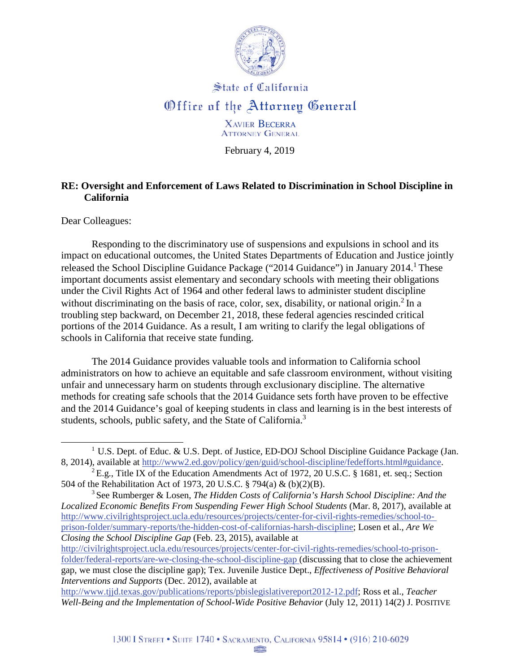

## State of California *<u>Office</u>* of the Attorney General

XAVlER BECERRA **ATTORNEY GENERAL** 

February 4, 2019

## **RE: Oversight and Enforcement of Laws Related to Discrimination in School Discipline in California**

Dear Colleagues:

Responding to the discriminatory use of suspensions and expulsions in school and its impact on educational outcomes, the United States Departments of Education and Justice jointly released the School Discipline Guidance Package ("2014 Guidance") in January 2014.<sup>1</sup> These important documents assist elementary and secondary schools with meeting their obligations under the Civil Rights Act of 1964 and other federal laws to administer student discipline without discriminating on the basis of race, color, sex, disability, or national origin. $<sup>2</sup>$  In a</sup> troubling step backward, on December 21, 2018, these federal agencies rescinded critical portions of the 2014 Guidance. As a result, I am writing to clarify the legal obligations of schools in California that receive state funding.

The 2014 Guidance provides valuable tools and information to California school administrators on how to achieve an equitable and safe classroom environment, without visiting unfair and unnecessary harm on students through exclusionary discipline. The alternative methods for creating safe schools that the 2014 Guidance sets forth have proven to be effective and the 2014 Guidance's goal of keeping students in class and learning is in the best interests of students, schools, public safety, and the State of California.<sup>3</sup>

<sup>&</sup>lt;sup>1</sup> U.S. Dept. of Educ. & U.S. Dept. of Justice, ED-DOJ School Discipline Guidance Package (Jan. 8, 2014), available at [http://www2.ed.gov/policy/gen/guid/school-discipline/fedefforts.html#guidance.](http://www2.ed.gov/policy/gen/guid/school-discipline/fedefforts.html#guidance)<br><sup>2</sup> E.g., Title IX of the Education Amendments Act of 1972, 20 U.S.C. § 1681, et. seq.; Section

<sup>504</sup> of the Rehabilitation Act of 1973, 20 U.S.C. § 794(a) & (b)(2)(B).

<sup>3</sup> See Rumberger & Losen, *The Hidden Costs of California's Harsh School Discipline: And the Localized Economic Benefits From Suspending Fewer High School Students* (Mar. 8, 2017), available at <http://www.civilrightsproject.ucla.edu/resources/projects/center-for-civil-rights-remedies/school-to>prison-folder/summary-reports/the-hidden-cost-of-californias-harsh-discipline; Losen et al., *Are We Closing the School Discipline Gap* (Feb. 23, 2015), available at

<http://civilrightsproject.ucla.edu/resources/projects/center-for-civil-rights-remedies/school-to-prison>folder/federal-reports/are-we-closing-the-school-discipline-gap (discussing that to close the achievement gap, we must close the discipline gap); Tex. Juvenile Justice Dept., *Effectiveness of Positive Behavioral Interventions and Supports* (Dec. 2012), available at

[http://www.tjjd.texas.gov/publications/reports/pbislegislativereport2012-12.pdf;](http://www.tjjd.texas.gov/publications/reports/pbislegislativereport2012-12.pdf) Ross et al., *Teacher Well-Being and the Implementation of School-Wide Positive Behavior (July 12, 2011) 14(2) J. POSITIVE*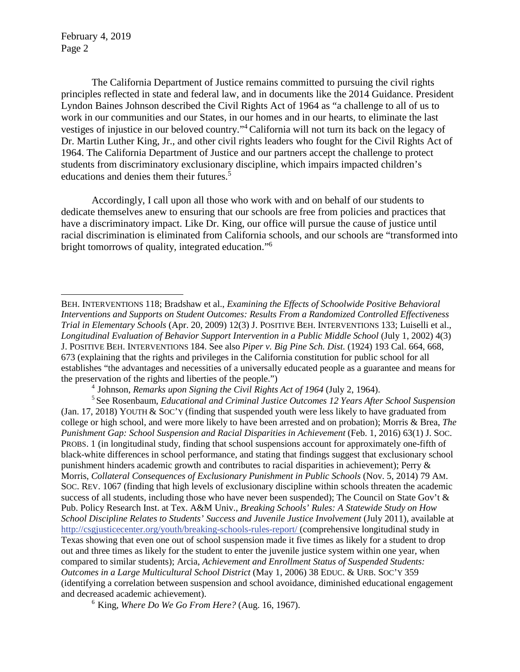The California Department of Justice remains committed to pursuing the civil rights principles reflected in state and federal law, and in documents like the 2014 Guidance. President Lyndon Baines Johnson described the Civil Rights Act of 1964 as "a challenge to all of us to work in our communities and our States, in our homes and in our hearts, to eliminate the last vestiges of injustice in our beloved country."4 California will not turn its back on the legacy of Dr. Martin Luther King, Jr., and other civil rights leaders who fought for the Civil Rights Act of 1964. The California Department of Justice and our partners accept the challenge to protect students from discriminatory exclusionary discipline, which impairs impacted children's educations and denies them their futures.<sup>5</sup>

Accordingly, I call upon all those who work with and on behalf of our students to dedicate themselves anew to ensuring that our schools are free from policies and practices that have a discriminatory impact. Like Dr. King, our office will pursue the cause of justice until racial discrimination is eliminated from California schools, and our schools are "transformed into bright tomorrows of quality, integrated education."6

4 Johnson, *Remarks upon Signing the Civil Rights Act of 1964* (July 2, 1964).

5 See Rosenbaum, *Educational and Criminal Justice Outcomes 12 Years After School Suspension*  (Jan. 17, 2018) YOUTH & SOC'Y (finding that suspended youth were less likely to have graduated from college or high school, and were more likely to have been arrested and on probation); Morris & Brea, *The Punishment Gap: School Suspension and Racial Disparities in Achievement* (Feb. 1, 2016) 63(1) J. SOC. PROBS. 1 (in longitudinal study, finding that school suspensions account for approximately one-fifth of black-white differences in school performance, and stating that findings suggest that exclusionary school punishment hinders academic growth and contributes to racial disparities in achievement); Perry & Morris, *Collateral Consequences of Exclusionary Punishment in Public Schools* (Nov. 5, 2014) 79 AM. SOC. REV. 1067 (finding that high levels of exclusionary discipline within schools threaten the academic success of all students, including those who have never been suspended); The Council on State Gov't & Pub. Policy Research Inst. at Tex. A&M Univ., *Breaking Schools' Rules: A Statewide Study on How School Discipline Relates to Students' Success and Juvenile Justice Involvement (July 2011), available at* <http://csgjusticecenter.org/youth/breaking-schools-rules-report>/ (comprehensive longitudinal study in Texas showing that even one out of school suspension made it five times as likely for a student to drop out and three times as likely for the student to enter the juvenile justice system within one year, when compared to similar students); Arcia, *Achievement and Enrollment Status of Suspended Students: Outcomes in a Large Multicultural School District* (May 1, 2006) 38 EDUC. & URB. SOC'Y 359 (identifying a correlation between suspension and school avoidance, diminished educational engagement and decreased academic achievement).

6 King, *Where Do We Go From Here?* (Aug. 16, 1967).

BEH. INTERVENTIONS 118; Bradshaw et al., *Examining the Effects of Schoolwide Positive Behavioral Interventions and Supports on Student Outcomes: Results From a Randomized Controlled Effectiveness Trial in Elementary Schools* (Apr. 20, 2009) 12(3) J. POSITIVE BEH. INTERVENTIONS 133; Luiselli et al., *Longitudinal Evaluation of Behavior Support Intervention in a Public Middle School* (July 1, 2002) 4(3) J. POSITIVE BEH. INTERVENTIONS 184. See also *Piper v. Big Pine Sch. Dist.* (1924) 193 Cal. 664, 668, 673 (explaining that the rights and privileges in the California constitution for public school for all establishes "the advantages and necessities of a universally educated people as a guarantee and means for the preservation of the rights and liberties of the people.")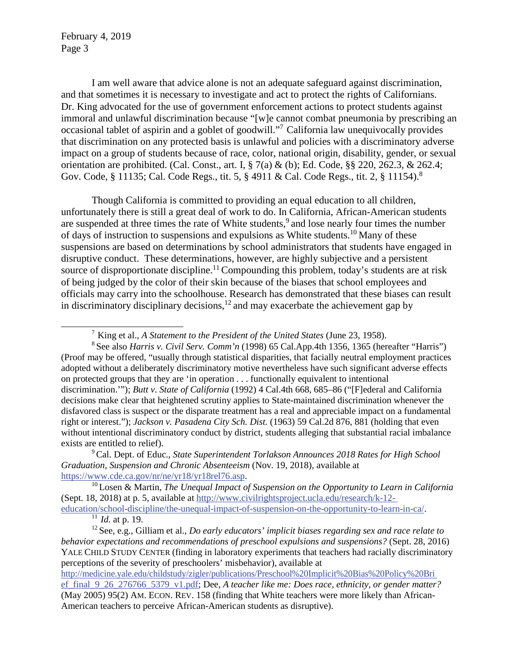and that sometimes it is necessary to investigate and act to protect the rights of Californians. occasional tablet of aspirin and a goblet of goodwill."<sup>7</sup> California law unequivocally provides that discrimination on any protected basis is unlawful and policies with a discriminatory adverse I am well aware that advice alone is not an adequate safeguard against discrimination, Dr. King advocated for the use of government enforcement actions to protect students against immoral and unlawful discrimination because "[w]e cannot combat pneumonia by prescribing an impact on a group of students because of race, color, national origin, disability, gender, or sexual orientation are prohibited. (Cal. Const., art. I,  $\S 7(a) \& (b)$ ; Ed. Code,  $\S 220$ , 262.3,  $\& 262.4$ ; Gov. Code, § 11135; Cal. Code Regs., tit. 5, § 4911 & Cal. Code Regs., tit. 2, § 11154).<sup>8</sup>

Though California is committed to providing an equal education to all children, unfortunately there is still a great deal of work to do. In California, African-American students are suspended at three times the rate of White students,<sup>9</sup> and lose nearly four times the number of days of instruction to suspensions and expulsions as White students.<sup>10</sup> Many of these suspensions are based on determinations by school administrators that students have engaged in disruptive conduct. These determinations, however, are highly subjective and a persistent source of disproportionate discipline.<sup>11</sup> Compounding this problem, today's students are at risk of being judged by the color of their skin because of the biases that school employees and officials may carry into the schoolhouse. Research has demonstrated that these biases can result in discriminatory disciplinary decisions, $12$  and may exacerbate the achievement gap by

<sup>7</sup> King et al., *A Statement to the President of the United States* (June 23, 1958).

 8 See also *Harris v. Civil Serv. Comm'n* (1998) 65 Cal.App.4th 1356, 1365 (hereafter "Harris") (Proof may be offered, "usually through statistical disparities, that facially neutral employment practices adopted without a deliberately discriminatory motive nevertheless have such significant adverse effects on protected groups that they are 'in operation . . . functionally equivalent to intentional discrimination.'"); *Butt v. State of California* (1992) 4 Cal.4th 668, 685–86 ("[F]ederal and California decisions make clear that heightened scrutiny applies to State-maintained discrimination whenever the disfavored class is suspect or the disparate treatment has a real and appreciable impact on a fundamental right or interest."); *Jackson v. Pasadena City Sch. Dist.* (1963) 59 Cal.2d 876, 881 (holding that even without intentional discriminatory conduct by district, students alleging that substantial racial imbalance exists are entitled to relief).

<sup>&</sup>lt;sup>9</sup> Cal. Dept. of Educ., *State Superintendent Torlakson Announces 2018 Rates for High School Graduation, Suspension and Chronic Absenteeism* (Nov. 19, 2018), available at

 <https://www.cde.ca.gov/nr/ne/yr18/yr18rel76.asp>. [10](https://www.cde.ca.gov/nr/ne/yr18/yr18rel76.asp) Losen & Martin, *The Unequal Impact of Suspension on the Opportunity to Learn in California*  (Sept. 18, 2018) at p. 5, available at<http://www.civilrightsproject.ucla.edu/research/k-12>education/school-discipline/the-unequal-impact-of-suspension-on-the-opportunity-to-learn-in-ca/. 11 *Id.* at p. 19.

<sup>&</sup>lt;sup>12</sup> See, e.g., Gilliam et al., *Do early educators' implicit biases regarding sex and race relate to*  perceptions of the severity of preschoolers' misbehavior), available at *behavior expectations and recommendations of preschool expulsions and suspensions?* (Sept. 28, 2016) YALE CHILD STUDY CENTER (finding in laboratory experiments that teachers had racially discriminatory

<http://medicine.yale.edu/childstudy/zigler/publications/Preschool%20Implicit%20Bias%20Policy%20Bri> ef\_final\_9\_26\_276766\_5379\_v1.pdf; Dee, *A teacher like me: Does race, ethnicity, or gender matter?*  (May 2005) 95(2) AM. ECON. REV. 158 (finding that White teachers were more likely than African-American teachers to perceive African-American students as disruptive).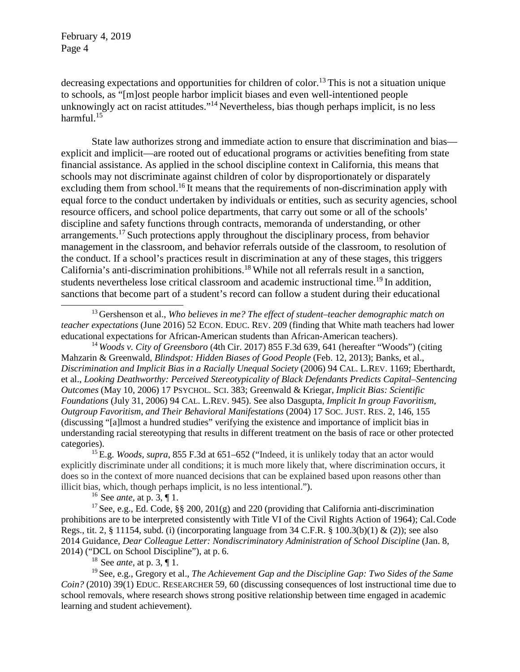decreasing expectations and opportunities for children of color.<sup>13</sup> This is not a situation unique to schools, as "[m]ost people harbor implicit biases and even well-intentioned people unknowingly act on racist attitudes."<sup>14</sup> Nevertheless, bias though perhaps implicit, is no less [harmful.](https://harmful.15) $15$ 

State law authorizes strong and immediate action to ensure that discrimination and bias explicit and implicit—are rooted out of educational programs or activities benefiting from state financial assistance. As applied in the school discipline context in California, this means that schools may not discriminate against children of color by disproportionately or disparately excluding them from [school.](https://school.16)<sup>16</sup> It means that the requirements of non-discrimination apply with equal force to the conduct undertaken by individuals or entities, such as security agencies, school resource officers, and school police departments, that carry out some or all of the schools' discipline and safety functions through contracts, memoranda of understanding, or other [arrangements.17](https://arrangements.17) Such protections apply throughout the disciplinary process, from behavior management in the classroom, and behavior referrals outside of the classroom, to resolution of the conduct. If a school's practices result in discrimination at any of these stages, this triggers California's anti-discrimination [prohibitions.](https://prohibitions.18)18 While not all referrals result in a sanction, students nevertheless lose critical classroom and academic instructional time.<sup>19</sup> In addition, sanctions that become part of a student's record can follow a student during their educational

<sup>14</sup>*Woods v. City of Greensboro* (4th Cir. 2017) 855 F.3d 639, 641 (hereafter "Woods") (citing Mahzarin & Greenwald, *Blindspot: Hidden Biases of Good People* (Feb. 12, 2013); Banks, et al., *Discrimination and Implicit Bias in a Racially Unequal Society* (2006) 94 CAL. L.REV. 1169; Eberthardt, et al., *Looking Deathworthy: Perceived Stereotypicality of Black Defendants Predicts Capital–Sentencing Outcomes* (May 10, 2006) 17 PSYCHOL. SCI. 383; Greenwald & Kriegar, *Implicit Bias: Scientific Foundations* (July 31, 2006) 94 CAL. L.REV. 945). See also Dasgupta, *Implicit In group Favoritism, Outgroup Favoritism, and Their Behavioral Manifestations* (2004) 17 SOC. JUST. RES. 2, 146, 155 (discussing "[a]lmost a hundred studies" verifying the existence and importance of implicit bias in understanding racial stereotyping that results in different treatment on the basis of race or other protected categories).

15 E.g. *Woods, supra*, 855 F.3d at 651–652 ("Indeed, it is unlikely today that an actor would explicitly discriminate under all conditions; it is much more likely that, where discrimination occurs, it does so in the context of more nuanced decisions that can be explained based upon reasons other than illicit bias, which, though perhaps implicit, is no less intentional.").

16 See *ante*, at p. 3, ¶ 1.

<sup>17</sup> See, e.g., Ed. Code, §§ 200, 201(g) and 220 (providing that California anti-discrimination prohibitions are to be interpreted consistently with Title VI of the Civil Rights Action of 1964); Cal.Code Regs., tit. 2,  $\S$  11154, subd. (i) (incorporating language from 34 C.F.R.  $\S$  100.3(b)(1) & (2)); see also 2014 Guidance, *Dear Colleague Letter: Nondiscriminatory Administration of School Discipline* (Jan. 8, 2014) ("DCL on School Discipline"), at p. 6.

18 See *ante*, at p. 3, ¶ 1.

19 See, e.g., Gregory et al., *The Achievement Gap and the Discipline Gap: Two Sides of the Same Coin?* (2010) 39(1) EDUC. RESEARCHER 59, 60 (discussing consequences of lost instructional time due to school removals, where research shows strong positive relationship between time engaged in academic learning and student achievement).

<sup>&</sup>lt;sup>13</sup> Gershenson et al., *Who believes in me? The effect of student–teacher demographic match on teacher expectations* (June 2016) 52 ECON. EDUC. REV. 209 (finding that White math teachers had lower educational expectations for African-American students than African-American teachers).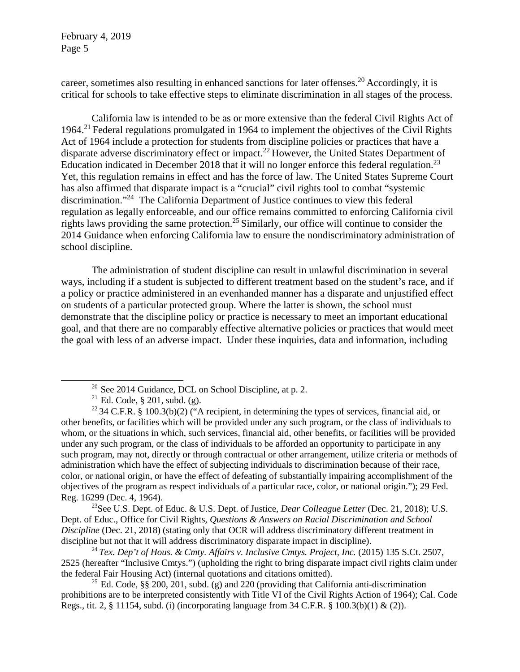career, sometimes also resulting in enhanced sanctions for later [offenses.20](https://offenses.20) Accordingly, it is critical for schools to take effective steps to eliminate discrimination in all stages of the process.

California law is intended to be as or more extensive than the federal Civil Rights Act of 1964.<sup>21</sup> Federal regulations promulgated in 1964 to implement the objectives of the Civil Rights Act of 1964 include a protection for students from discipline policies or practices that have a disparate adverse discriminatory effect or impact.<sup>22</sup> However, the United States Department of Education indicated in December 2018 that it will no longer enforce this federal regulation.<sup>23</sup> Yet, this regulation remains in effect and has the force of law. The United States Supreme Court has also affirmed that disparate impact is a "crucial" civil rights tool to combat "systemic discrimination."24 The California Department of Justice continues to view this federal regulation as legally enforceable, and our office remains committed to enforcing California civil rights laws providing the same [protection.](https://protection.25)<sup>25</sup> Similarly, our office will continue to consider the 2014 Guidance when enforcing California law to ensure the nondiscriminatory administration of school discipline.

The administration of student discipline can result in unlawful discrimination in several ways, including if a student is subjected to different treatment based on the student's race, and if a policy or practice administered in an evenhanded manner has a disparate and unjustified effect on students of a particular protected group. Where the latter is shown, the school must demonstrate that the discipline policy or practice is necessary to meet an important educational goal, and that there are no comparably effective alternative policies or practices that would meet the goal with less of an adverse impact. Under these inquiries, data and information, including

23See U.S. Dept. of Educ. & U.S. Dept. of Justice, *Dear Colleague Letter* (Dec. 21, 2018); U.S. Dept. of Educ., Office for Civil Rights, *Questions & Answers on Racial Discrimination and School Discipline* (Dec. 21, 2018) (stating only that OCR will address discriminatory different treatment in discipline but not that it will address discriminatory disparate impact in discipline).

<sup>24</sup> Tex. Dep't of Hous. & Cmty. Affairs v. Inclusive Cmtys. Project, Inc. (2015) 135 S.Ct. 2507, 2525 (hereafter "Inclusive Cmtys.") (upholding the right to bring disparate impact civil rights claim under the federal Fair Housing Act) (internal quotations and citations omitted).

<sup>25</sup> Ed. Code, §§ 200, 201, subd. (g) and 220 (providing that California anti-discrimination prohibitions are to be interpreted consistently with Title VI of the Civil Rights Action of 1964); Cal. Code Regs., tit. 2,  $\S$  11154, subd. (i) (incorporating language from 34 C.F.R.  $\S$  100.3(b)(1) & (2)).

 $20$  See 2014 Guidance, DCL on School Discipline, at p. 2.

<sup>&</sup>lt;sup>21</sup> Ed. Code, § 201, subd. (g).

<sup>&</sup>lt;sup>22</sup> 34 C.F.R. § 100.3(b)(2) ("A recipient, in determining the types of services, financial aid, or other benefits, or facilities which will be provided under any such program, or the class of individuals to whom, or the situations in which, such services, financial aid, other benefits, or facilities will be provided under any such program, or the class of individuals to be afforded an opportunity to participate in any such program, may not, directly or through contractual or other arrangement, utilize criteria or methods of administration which have the effect of subjecting individuals to discrimination because of their race, color, or national origin, or have the effect of defeating of substantially impairing accomplishment of the objectives of the program as respect individuals of a particular race, color, or national origin."); 29 Fed. Reg. 16299 (Dec. 4, 1964).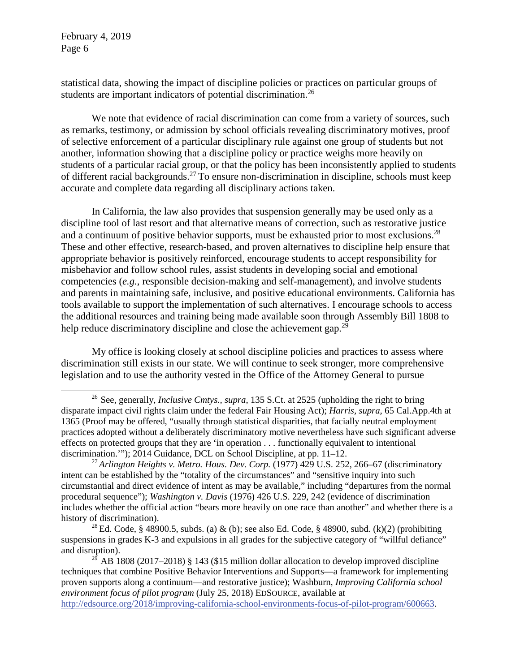statistical data, showing the impact of discipline policies or practices on particular groups of students are important indicators of potential [discrimination.26](https://discrimination.26)

 of selective enforcement of a particular disciplinary rule against one group of students but not We note that evidence of racial discrimination can come from a variety of sources, such as remarks, testimony, or admission by school officials revealing discriminatory motives, proof another, information showing that a discipline policy or practice weighs more heavily on students of a particular racial group, or that the policy has been inconsistently applied to students of different racial [backgrounds.](https://backgrounds.27)27 To ensure non-discrimination in discipline, schools must keep accurate and complete data regarding all disciplinary actions taken.

In California, the law also provides that suspension generally may be used only as a discipline tool of last resort and that alternative means of correction, such as restorative justice and a continuum of positive behavior supports, must be exhausted prior to most exclusions.<sup>28</sup> These and other effective, research-based, and proven alternatives to discipline help ensure that appropriate behavior is positively reinforced, encourage students to accept responsibility for misbehavior and follow school rules, assist students in developing social and emotional competencies (*e.g.*, responsible decision-making and self-management), and involve students and parents in maintaining safe, inclusive, and positive educational environments. California has tools available to support the implementation of such alternatives. I encourage schools to access the additional resources and training being made available soon through Assembly Bill 1808 to help reduce discriminatory discipline and close the achievement gap.<sup>29</sup>

 My office is looking closely at school discipline policies and practices to assess where legislation and to use the authority vested in the Office of the Attorney General to pursue discrimination still exists in our state. We will continue to seek stronger, more comprehensive

<sup>28</sup> Ed. Code, § 48900.5, subds. (a) & (b); see also Ed. Code, § 48900, subd. (k)(2) (prohibiting suspensions in grades K-3 and expulsions in all grades for the subjective category of "willful defiance" and disruption).

<sup>26</sup> See, generally, *Inclusive Cmtys., supra*, 135 S.Ct. at 2525 (upholding the right to bring disparate impact civil rights claim under the federal Fair Housing Act); *Harris, supra*, 65 Cal.App.4th at 1365 (Proof may be offered, "usually through statistical disparities, that facially neutral employment practices adopted without a deliberately discriminatory motive nevertheless have such significant adverse effects on protected groups that they are 'in operation . . . functionally equivalent to intentional discrimination.'"); 2014 Guidance, DCL on School Discipline, at pp. 11–12.

 intent can be established by the "totality of the circumstances" and "sensitive inquiry into such includes whether the official action "bears more heavily on one race than another" and whether there is a <sup>27</sup> Arlington Heights v. Metro. Hous. Dev. Corp. (1977) 429 U.S. 252, 266–67 (discriminatory circumstantial and direct evidence of intent as may be available," including "departures from the normal procedural sequence"); *Washington v. Davis* (1976) 426 U.S. 229, 242 (evidence of discrimination history of discrimination).

 *environment focus of pilot program* (July 25, 2018) EDSOURCE, available at  $29 \text{ AB } 1808 (2017–2018)$  § 143 (\$15 million dollar allocation to develop improved discipline techniques that combine Positive Behavior Interventions and Supports—a framework for implementing proven supports along a continuum—and restorative justice); Washburn, *Improving California school*  [http://edsource.org/2018/improving-california-school-environments-focus-of-pilot-program/600663.](http://edsource.org/2018/improving-california-school-environments-focus-of-pilot-program/600663)